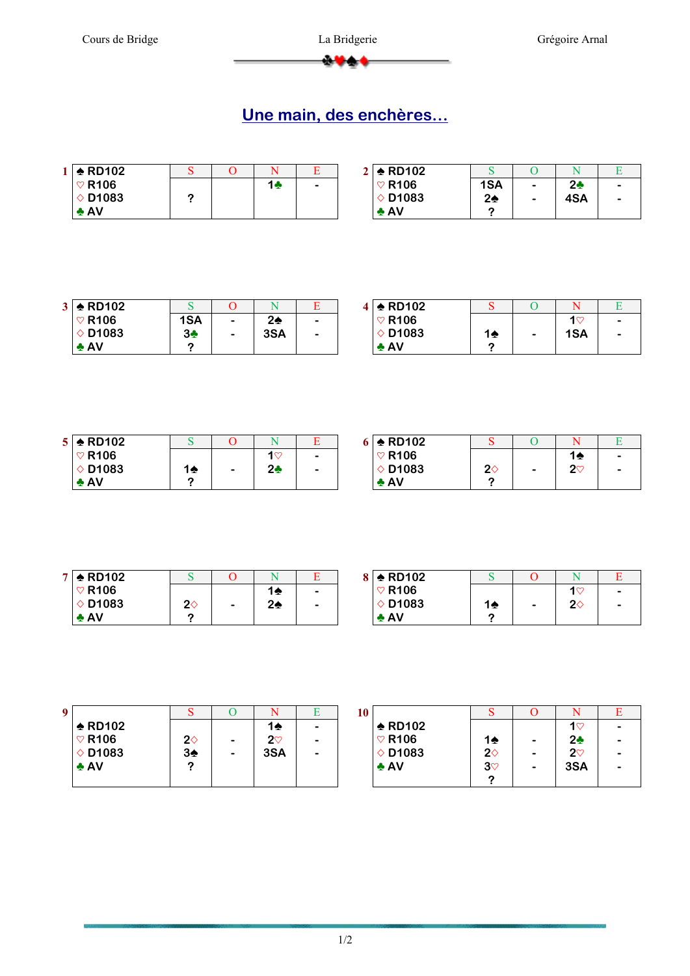$+1$ 

## **Une main, des enchères…**

| $1 \div$ RD102    |  |    |   | 2 $\triangle$ RD102 |               |   |                |  |
|-------------------|--|----|---|---------------------|---------------|---|----------------|--|
| $\heartsuit$ R106 |  | 1÷ | - | $\heartsuit$ R106   | 1SA           | - | 2 <sub>2</sub> |  |
| $\diamond$ D1083  |  |    |   | $\diamond$ D1083    | $2\spadesuit$ |   | 4SA            |  |
| $\triangle$ AV    |  |    |   | $\triangle$ AV      |               |   |                |  |

| 3 <sup>1</sup> | $\triangle$ RD102 |     |                          |               |                          | l ♠ RD102         |
|----------------|-------------------|-----|--------------------------|---------------|--------------------------|-------------------|
|                | $\heartsuit$ R106 | 1SA | $\overline{\phantom{0}}$ | $2\spadesuit$ | $\overline{\phantom{a}}$ | $\heartsuit$ R106 |
|                | $\Diamond$ D1083  | 34  | $\overline{\phantom{0}}$ | 3SA           | $\overline{\phantom{0}}$ | $\Diamond$ D1083  |
|                | $\clubsuit$ AV    | ◠   |                          |               |                          | $\clubsuit$ AV    |

|   | $4 \div$ RD102    |    |                |   |
|---|-------------------|----|----------------|---|
| - | $\heartsuit$ R106 |    | 1 $\heartsuit$ | - |
| - | $\diamond$ D1083  | 14 | 1SA            |   |
|   | $\clubsuit$ AV    |    |                |   |

| $5 \div$ RD102    |    |                          |                  |           | $5 \div$ RD102    |             |   |          |           |
|-------------------|----|--------------------------|------------------|-----------|-------------------|-------------|---|----------|-----------|
| $\heartsuit$ R106 |    |                          | $1$ $\heartsuit$ | $\bullet$ | $\heartsuit$ R106 |             |   | 12       | $\bullet$ |
| $\diamond$ D1083  | 14 | $\overline{\phantom{0}}$ | 2 <sub>2</sub>   | $\bullet$ | $\diamond$ D1083  | $2\diamond$ | - | റന<br>∠∿ | $\bullet$ |
| $\triangle$ AV    | c  |                          |                  |           | $\triangle$ AV    |             |   |          |           |

| $\blacktriangleright$ RD102 |             |                          |    |                          | <u>  ♠</u> RD102  |
|-----------------------------|-------------|--------------------------|----|--------------------------|-------------------|
| $\heartsuit$ R106           |             |                          | 10 | $\overline{\phantom{0}}$ | $\heartsuit$ R106 |
| $\Diamond$ D1083            | $2\diamond$ | $\overline{\phantom{0}}$ | 2♠ | $\overline{\phantom{0}}$ | $\Diamond$ D1083  |
| $\clubsuit$ AV              | ◠           |                          |    |                          | $\triangle$ AV    |

|   | $8 \div$ RD102    |               |                          |                  |           |
|---|-------------------|---------------|--------------------------|------------------|-----------|
| - | $\heartsuit$ R106 |               |                          | $1$ $\heartsuit$ | $\bullet$ |
| - | $\diamond$ D1083  | $1\spadesuit$ | $\overline{\phantom{0}}$ | 20               | -         |
|   | $\clubsuit$ AV    | ∩             |                          |                  |           |

| 9                 |               |   |               | 10 |
|-------------------|---------------|---|---------------|----|
| $\triangle$ RD102 |               |   | 14            |    |
| $\heartsuit$ R106 | $2\diamond$   | - | $2\heartsuit$ |    |
| $\diamond$ D1083  | $3\spadesuit$ |   | 3SA           |    |
| $\triangle$ AV    | າ             |   |               |    |
|                   |               |   |               |    |

| 10 |                   |               | O |               |  |
|----|-------------------|---------------|---|---------------|--|
|    | $\triangle$ RD102 |               |   | 1♡            |  |
|    | $\heartsuit$ R106 | 1♠            |   | 2÷            |  |
|    | $\diamond$ D1083  | $2\diamond$   |   | $2\heartsuit$ |  |
|    | $\triangle$ AV    | $3\heartsuit$ |   | 3SA           |  |
|    |                   |               |   |               |  |